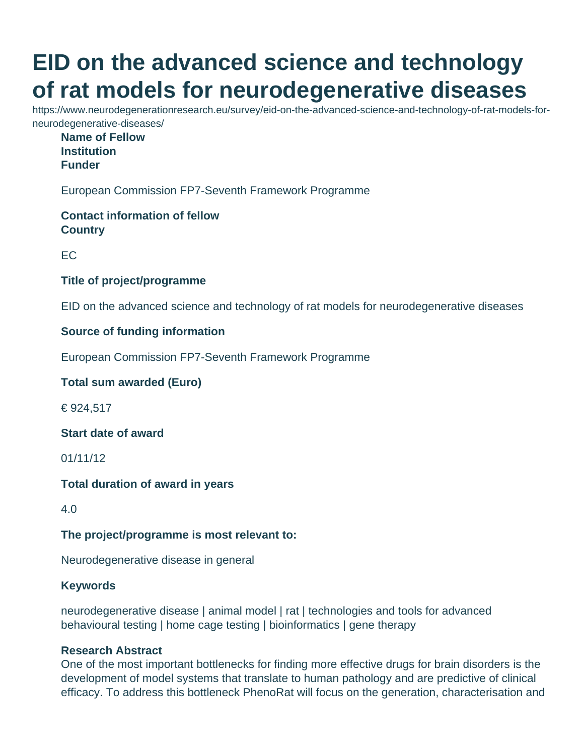# **EID on the advanced science and technology of rat models for neurodegenerative diseases**

https://www.neurodegenerationresearch.eu/survey/eid-on-the-advanced-science-and-technology-of-rat-models-forneurodegenerative-diseases/

**Name of Fellow Institution Funder**

European Commission FP7-Seventh Framework Programme

**Contact information of fellow Country**

EC

# **Title of project/programme**

EID on the advanced science and technology of rat models for neurodegenerative diseases

#### **Source of funding information**

European Commission FP7-Seventh Framework Programme

#### **Total sum awarded (Euro)**

€ 924,517

**Start date of award**

01/11/12

#### **Total duration of award in years**

4.0

# **The project/programme is most relevant to:**

Neurodegenerative disease in general

#### **Keywords**

neurodegenerative disease | animal model | rat | technologies and tools for advanced behavioural testing | home cage testing | bioinformatics | gene therapy

### **Research Abstract**

One of the most important bottlenecks for finding more effective drugs for brain disorders is the development of model systems that translate to human pathology and are predictive of clinical efficacy. To address this bottleneck PhenoRat will focus on the generation, characterisation and